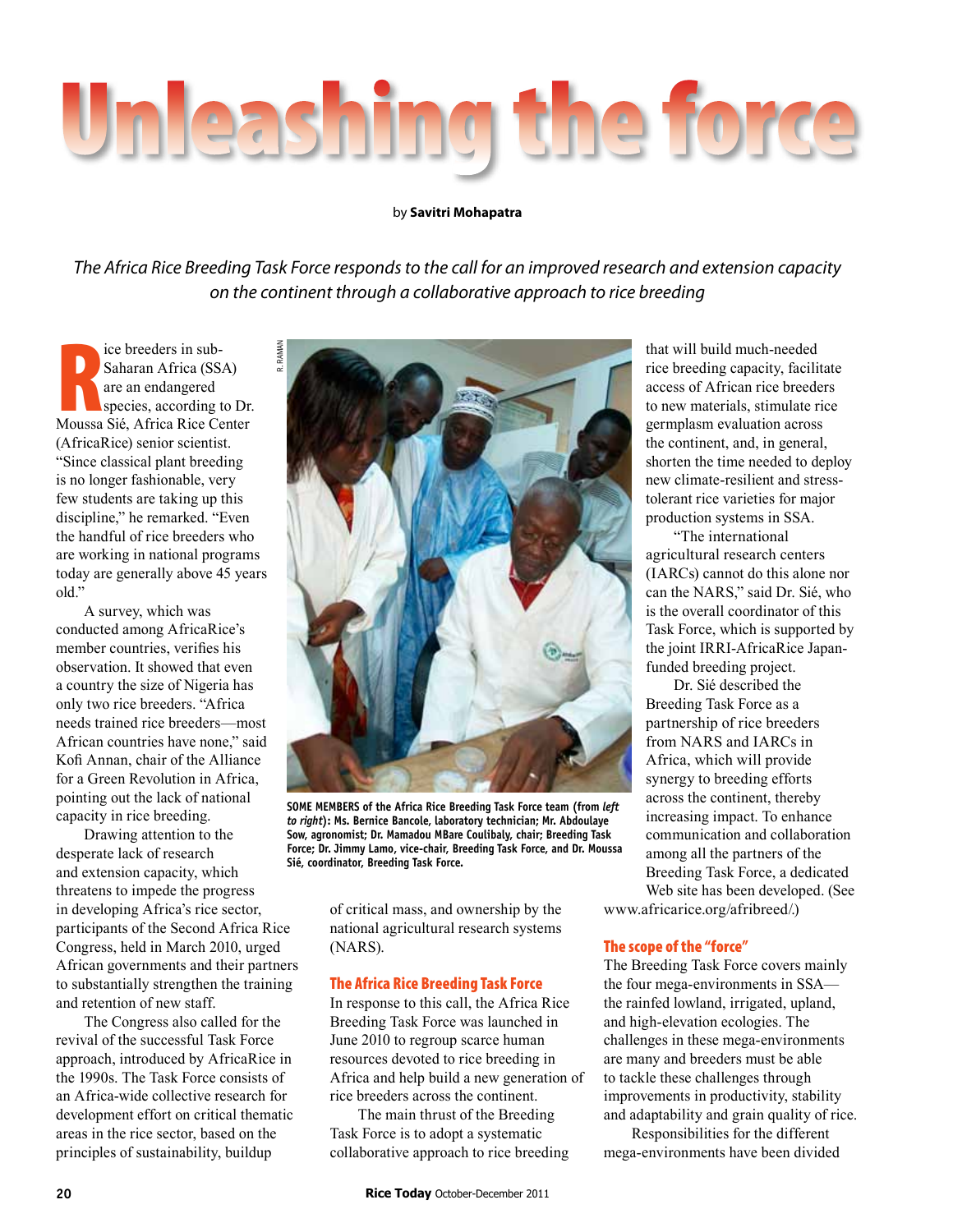

## by **Savitri Mohapatra**

*The Africa Rice Breeding Task Force responds to the call for an improved research and extension capacity on the continent through a collaborative approach to rice breeding*

ce breeders in sub-<br>
Saharan Africa (SSA)<br>
are an endangered<br>
species, according to Dr.<br>
Moussa Sié, Africa Rice Center ice breeders in sub-Saharan Africa (SSA) are an endangered species, according to Dr. (AfricaRice) senior scientist. "Since classical plant breeding is no longer fashionable, very few students are taking up this discipline," he remarked. "Even the handful of rice breeders who are working in national programs today are generally above 45 years old."

A survey, which was conducted among AfricaRice's member countries, verifies his observation. It showed that even a country the size of Nigeria has only two rice breeders. "Africa needs trained rice breeders—most African countries have none," said Kofi Annan, chair of the Alliance for a Green Revolution in Africa, pointing out the lack of national capacity in rice breeding.

Drawing attention to the desperate lack of research and extension capacity, which threatens to impede the progress in developing Africa's rice sector, participants of the Second Africa Rice Congress, held in March 2010, urged African governments and their partners to substantially strengthen the training and retention of new staff.

The Congress also called for the revival of the successful Task Force approach, introduced by AfricaRice in the 1990s. The Task Force consists of an Africa-wide collective research for development effort on critical thematic areas in the rice sector, based on the principles of sustainability, buildup



**Some members of the Africa Rice Breeding Task Force team (from** *left to right***): Ms. Bernice Bancole, laboratory technician; Mr. Abdoulaye Sow, agronomist; Dr. Mamadou MBare Coulibaly, chair; Breeding Task Force; Dr. Jimmy Lamo, vice-chair, Breeding Task Force, and Dr. Moussa Sié, coordinator, Breeding Task Force.**

of critical mass, and ownership by the national agricultural research systems (NARS).

## The Africa Rice Breeding Task Force

In response to this call, the Africa Rice Breeding Task Force was launched in June 2010 to regroup scarce human resources devoted to rice breeding in Africa and help build a new generation of rice breeders across the continent.

The main thrust of the Breeding Task Force is to adopt a systematic collaborative approach to rice breeding that will build much-needed rice breeding capacity, facilitate access of African rice breeders to new materials, stimulate rice germplasm evaluation across the continent, and, in general, shorten the time needed to deploy new climate-resilient and stresstolerant rice varieties for major production systems in SSA.

"The international agricultural research centers (IARCs) cannot do this alone nor can the NARS," said Dr. Sié, who is the overall coordinator of this Task Force, which is supported by the joint IRRI-AfricaRice Japanfunded breeding project.

Dr. Sié described the Breeding Task Force as a partnership of rice breeders from NARS and IARCs in Africa, which will provide synergy to breeding efforts across the continent, thereby increasing impact. To enhance communication and collaboration among all the partners of the Breeding Task Force, a dedicated Web site has been developed. (See

www.africarice.org/afribreed/.)

## The scope of the "force"

The Breeding Task Force covers mainly the four mega-environments in SSA the rainfed lowland, irrigated, upland, and high-elevation ecologies. The challenges in these mega-environments are many and breeders must be able to tackle these challenges through improvements in productivity, stability and adaptability and grain quality of rice.

Responsibilities for the different mega-environments have been divided